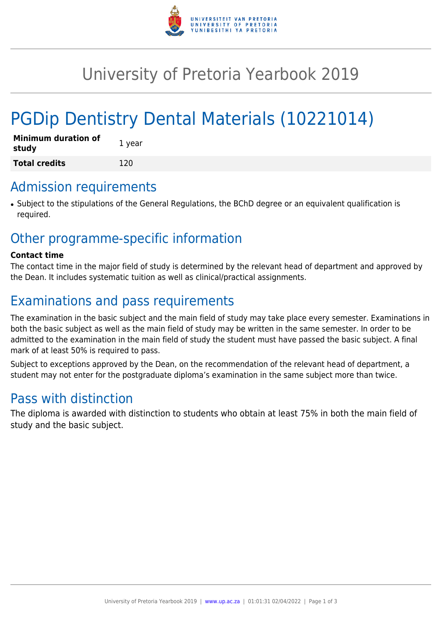

# University of Pretoria Yearbook 2019

# PGDip Dentistry Dental Materials (10221014)

| <b>Minimum duration of</b><br>study | 1 year |
|-------------------------------------|--------|
| <b>Total credits</b>                | 120    |

### Admission requirements

• Subject to the stipulations of the General Regulations, the BChD degree or an equivalent qualification is required.

## Other programme-specific information

#### **Contact time**

The contact time in the major field of study is determined by the relevant head of department and approved by the Dean. It includes systematic tuition as well as clinical/practical assignments.

# Examinations and pass requirements

The examination in the basic subject and the main field of study may take place every semester. Examinations in both the basic subject as well as the main field of study may be written in the same semester. In order to be admitted to the examination in the main field of study the student must have passed the basic subject. A final mark of at least 50% is required to pass.

Subject to exceptions approved by the Dean, on the recommendation of the relevant head of department, a student may not enter for the postgraduate diploma's examination in the same subject more than twice.

## Pass with distinction

The diploma is awarded with distinction to students who obtain at least 75% in both the main field of study and the basic subject.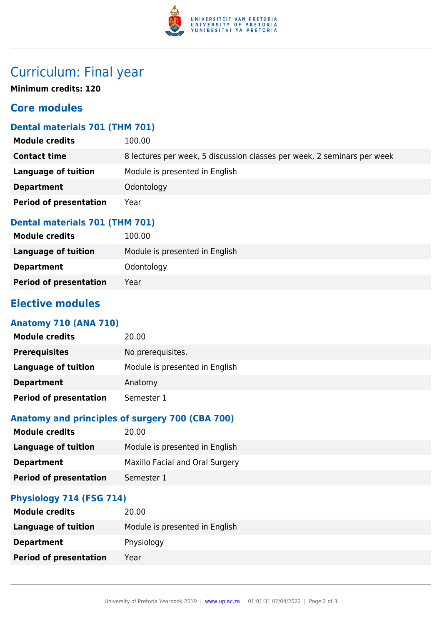

# Curriculum: Final year

**Minimum credits: 120**

### **Core modules**

### **Dental materials 701 (THM 701)**

| <b>Module credits</b>         | 100.00                                                                  |
|-------------------------------|-------------------------------------------------------------------------|
| <b>Contact time</b>           | 8 lectures per week, 5 discussion classes per week, 2 seminars per week |
| Language of tuition           | Module is presented in English                                          |
| <b>Department</b>             | Odontology                                                              |
| <b>Period of presentation</b> | Year                                                                    |

#### **Dental materials 701 (THM 701)**

| <b>Module credits</b>         | 100.00                         |
|-------------------------------|--------------------------------|
| Language of tuition           | Module is presented in English |
| <b>Department</b>             | Odontology                     |
| <b>Period of presentation</b> | Year                           |

### **Elective modules**

#### **Anatomy 710 (ANA 710)**

| <b>Module credits</b>         | 20.00                          |
|-------------------------------|--------------------------------|
| <b>Prerequisites</b>          | No prerequisites.              |
| Language of tuition           | Module is presented in English |
| <b>Department</b>             | Anatomy                        |
| <b>Period of presentation</b> | Semester 1                     |

#### **Anatomy and principles of surgery 700 (CBA 700)**

| <b>Module credits</b>         | 20.00                           |
|-------------------------------|---------------------------------|
| <b>Language of tuition</b>    | Module is presented in English  |
| <b>Department</b>             | Maxillo Facial and Oral Surgery |
| <b>Period of presentation</b> | Semester 1                      |

#### **Physiology 714 (FSG 714)**

| <b>Module credits</b>         | 20.00                          |
|-------------------------------|--------------------------------|
| <b>Language of tuition</b>    | Module is presented in English |
| <b>Department</b>             | Physiology                     |
| <b>Period of presentation</b> | Year                           |
|                               |                                |